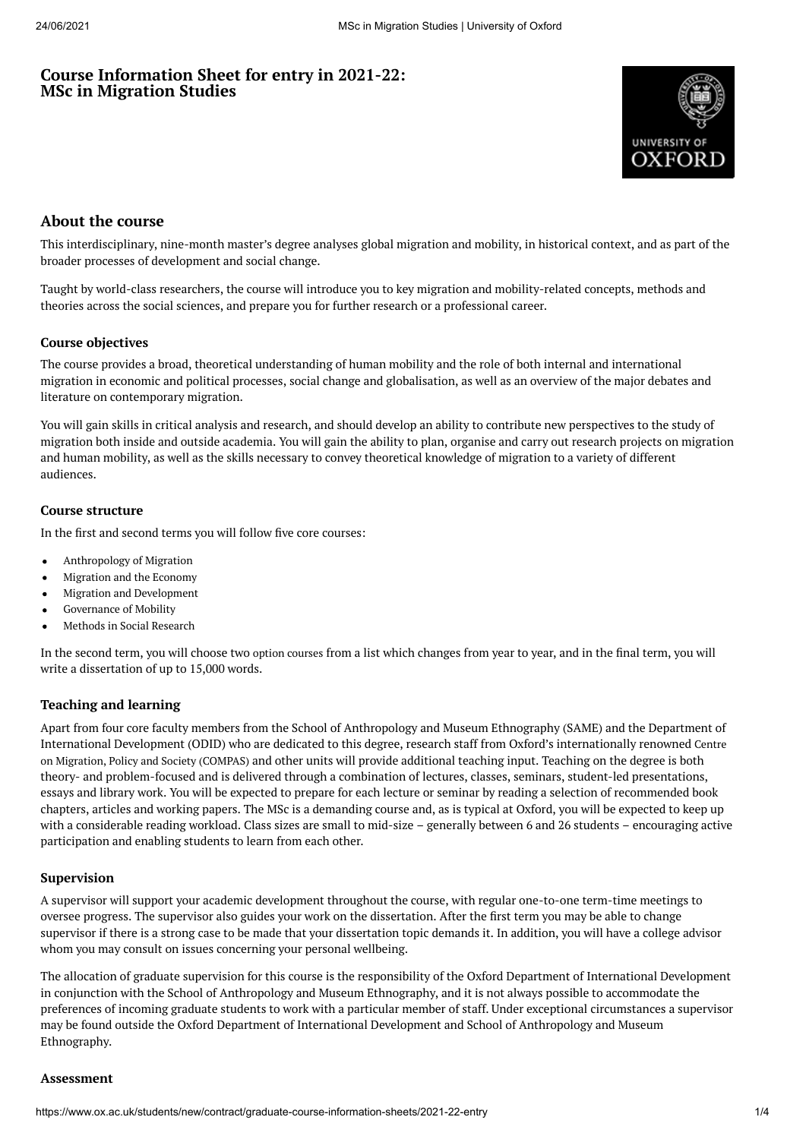# **Course Information Sheet for entry in 2021-22: MSc in Migration Studies**



## **About the course**

This interdisciplinary, nine-month master's degree analyses global migration and mobility, in historical context, and as part of the broader processes of development and social change.

Taught by world-class researchers, the course will introduce you to key migration and mobility-related concepts, methods and theories across the social sciences, and prepare you for further research or a professional career.

## **Course objectives**

The course provides a broad, theoretical understanding of human mobility and the role of both internal and international migration in economic and political processes, social change and globalisation, as well as an overview of the major debates and literature on contemporary migration.

You will gain skills in critical analysis and research, and should develop an ability to contribute new perspectives to the study of migration both inside and outside academia. You will gain the ability to plan, organise and carry out research projects on migration and human mobility, as well as the skills necessary to convey theoretical knowledge of migration to a variety of different audiences.

## **Course structure**

In the first and second terms you will follow five core courses:

- Anthropology of Migration
- Migration and the Economy
- Migration and Development
- $\bullet$ Governance of Mobility
- Methods in Social Research

In the second term, you will choose two option [courses](https://www.qeh.ox.ac.uk/content/msc-migration-studies) from a list which changes from year to year, and in the final term, you will write a dissertation of up to 15,000 words.

## **Teaching and learning**

Apart from four core faculty members from the School of Anthropology and Museum Ethnography (SAME) and the Department of International Development (ODID) who are dedicated to this degree, research staff from Oxford's [internationally](https://www.compas.ox.ac.uk/people/) renowned Centre on Migration, Policy and Society (COMPAS) and other units will provide additional teaching input. Teaching on the degree is both theory- and problem-focused and is delivered through a combination of lectures, classes, seminars, student-led presentations, essays and library work. You will be expected to prepare for each lecture or seminar by reading a selection of recommended book chapters, articles and working papers. The MSc is a demanding course and, as is typical at Oxford, you will be expected to keep up with a considerable reading workload. Class sizes are small to mid-size – generally between 6 and 26 students – encouraging active participation and enabling students to learn from each other.

#### **Supervision**

A supervisor will support your academic development throughout the course, with regular one-to-one term-time meetings to oversee progress. The supervisor also guides your work on the dissertation. After the first term you may be able to change supervisor if there is a strong case to be made that your dissertation topic demands it. In addition, you will have a college advisor whom you may consult on issues concerning your personal wellbeing.

The allocation of graduate supervision for this course is the responsibility of the Oxford Department of International Development in conjunction with the School of Anthropology and Museum Ethnography, and it is not always possible to accommodate the preferences of incoming graduate students to work with a particular member of staff. Under exceptional circumstances a supervisor may be found outside the Oxford Department of International Development and School of Anthropology and Museum Ethnography.

#### **Assessment**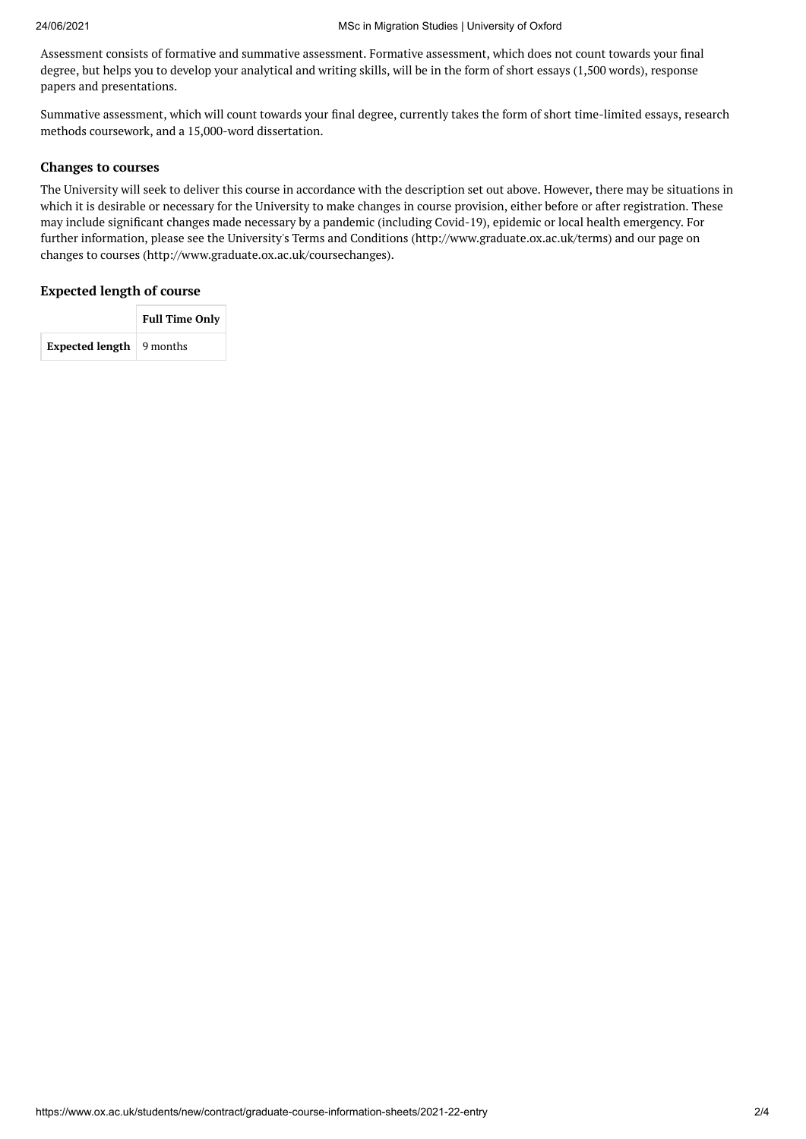Assessment consists of formative and summative assessment. Formative assessment, which does not count towards your final degree, but helps you to develop your analytical and writing skills, will be in the form of short essays (1,500 words), response papers and presentations.

Summative assessment, which will count towards your final degree, currently takes the form of short time-limited essays, research methods coursework, and a 15,000-word dissertation.

#### **Changes to courses**

The University will seek to deliver this course in accordance with the description set out above. However, there may be situations in which it is desirable or necessary for the University to make changes in course provision, either before or after registration. These may include significant changes made necessary by a pandemic (including Covid-19), epidemic or local health emergency. For further information, please see the University's Terms and Conditions (http://www.graduate.ox.ac.uk/terms) and our page on changes to courses (http://www.graduate.ox.ac.uk/coursechanges).

#### **Expected length of course**

|                                         | <b>Full Time Only</b> |
|-----------------------------------------|-----------------------|
| <b>Expected length</b> $\vert$ 9 months |                       |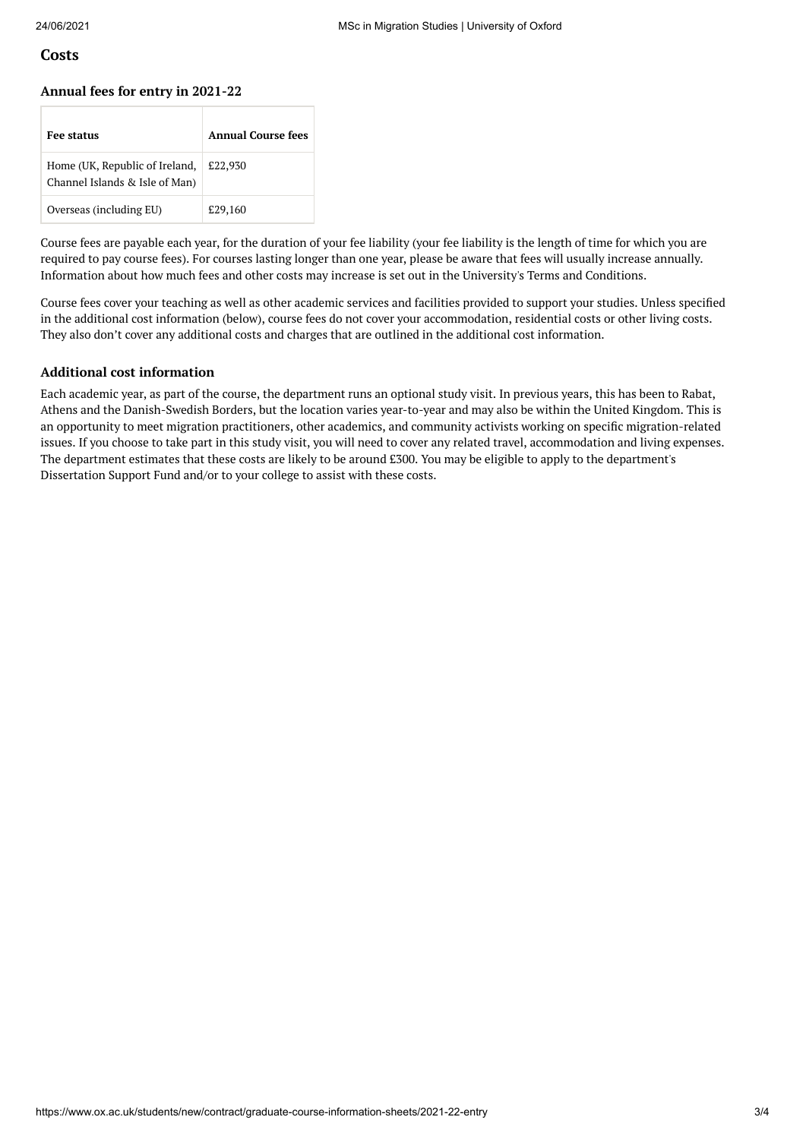## **Costs**

#### **Annual fees for entry in 2021-22**

| <b>Fee status</b>                                                | Annual Course fees |
|------------------------------------------------------------------|--------------------|
| Home (UK, Republic of Ireland,<br>Channel Islands & Isle of Man) | £22,930            |
| Overseas (including EU)                                          | £29,160            |

Course fees are payable each year, for the duration of your fee liability (your fee liability is the length of time for which you are required to pay course fees). For courses lasting longer than one year, please be aware that fees will usually increase annually. Information about how much fees and other costs may increase is set out in the University's Terms and Conditions.

Course fees cover your teaching as well as other academic services and facilities provided to support your studies. Unless specified in the additional cost information (below), course fees do not cover your accommodation, residential costs or other living costs. They also don't cover any additional costs and charges that are outlined in the additional cost information.

#### **Additional cost information**

Each academic year, as part of the course, the department runs an optional study visit. In previous years, this has been to Rabat, Athens and the Danish-Swedish Borders, but the location varies year-to-year and may also be within the United Kingdom. This is an opportunity to meet migration practitioners, other academics, and community activists working on specific migration-related issues. If you choose to take part in this study visit, you will need to cover any related travel, accommodation and living expenses. The department estimates that these costs are likely to be around £300. You may be eligible to apply to the department's Dissertation Support Fund and/or to your college to assist with these costs.